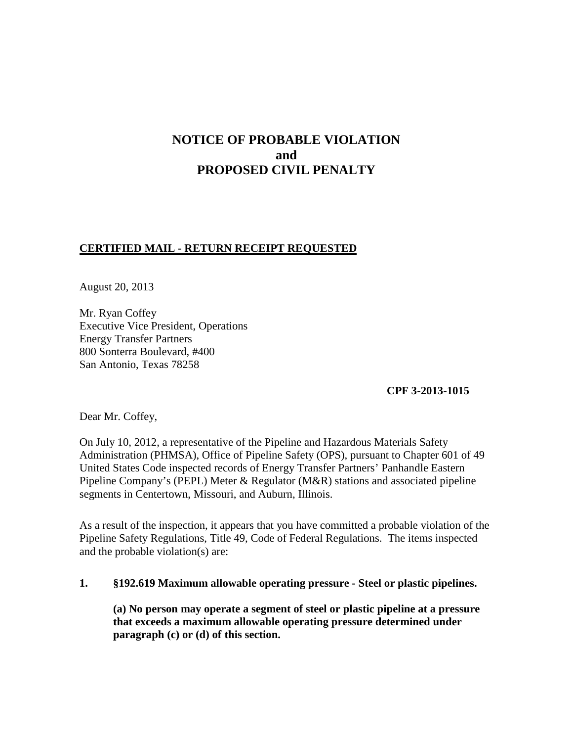# **NOTICE OF PROBABLE VIOLATION and PROPOSED CIVIL PENALTY**

# **CERTIFIED MAIL - RETURN RECEIPT REQUESTED**

August 20, 2013

Mr. Ryan Coffey Executive Vice President, Operations Energy Transfer Partners 800 Sonterra Boulevard, #400 San Antonio, Texas 78258

**CPF 3-2013-1015** 

Dear Mr. Coffey,

On July 10, 2012, a representative of the Pipeline and Hazardous Materials Safety Administration (PHMSA), Office of Pipeline Safety (OPS), pursuant to Chapter 601 of 49 United States Code inspected records of Energy Transfer Partners' Panhandle Eastern Pipeline Company's (PEPL) Meter & Regulator (M&R) stations and associated pipeline segments in Centertown, Missouri, and Auburn, Illinois.

As a result of the inspection, it appears that you have committed a probable violation of the Pipeline Safety Regulations, Title 49, Code of Federal Regulations. The items inspected and the probable violation(s) are:

### **1. §192.619 Maximum allowable operating pressure - Steel or plastic pipelines.**

 **(a) No person may operate a segment of steel or plastic pipeline at a pressure that exceeds a maximum allowable operating pressure determined under paragraph (c) or (d) of this section.**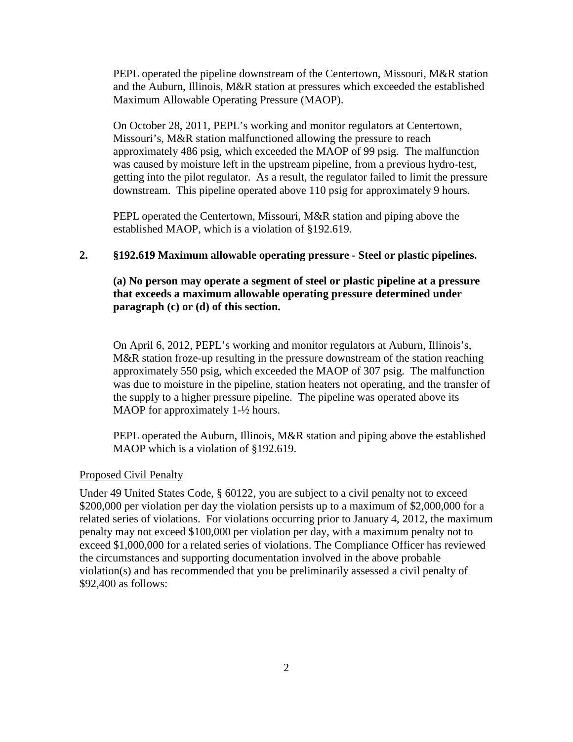PEPL operated the pipeline downstream of the Centertown, Missouri, M&R station and the Auburn, Illinois, M&R station at pressures which exceeded the established Maximum Allowable Operating Pressure (MAOP).

On October 28, 2011, PEPL's working and monitor regulators at Centertown, Missouri's, M&R station malfunctioned allowing the pressure to reach approximately 486 psig, which exceeded the MAOP of 99 psig. The malfunction was caused by moisture left in the upstream pipeline, from a previous hydro-test, getting into the pilot regulator. As a result, the regulator failed to limit the pressure downstream. This pipeline operated above 110 psig for approximately 9 hours.

PEPL operated the Centertown, Missouri, M&R station and piping above the established MAOP, which is a violation of §192.619.

#### **2. §192.619 Maximum allowable operating pressure - Steel or plastic pipelines.**

# **(a) No person may operate a segment of steel or plastic pipeline at a pressure that exceeds a maximum allowable operating pressure determined under paragraph (c) or (d) of this section.**

On April 6, 2012, PEPL's working and monitor regulators at Auburn, Illinois's, M&R station froze-up resulting in the pressure downstream of the station reaching approximately 550 psig, which exceeded the MAOP of 307 psig. The malfunction was due to moisture in the pipeline, station heaters not operating, and the transfer of the supply to a higher pressure pipeline. The pipeline was operated above its MAOP for approximately 1- $\frac{1}{2}$  hours.

PEPL operated the Auburn, Illinois, M&R station and piping above the established MAOP which is a violation of §192.619.

#### Proposed Civil Penalty

Under 49 United States Code, § 60122, you are subject to a civil penalty not to exceed \$200,000 per violation per day the violation persists up to a maximum of \$2,000,000 for a related series of violations. For violations occurring prior to January 4, 2012, the maximum penalty may not exceed \$100,000 per violation per day, with a maximum penalty not to exceed \$1,000,000 for a related series of violations. The Compliance Officer has reviewed the circumstances and supporting documentation involved in the above probable violation(s) and has recommended that you be preliminarily assessed a civil penalty of \$92,400 as follows: